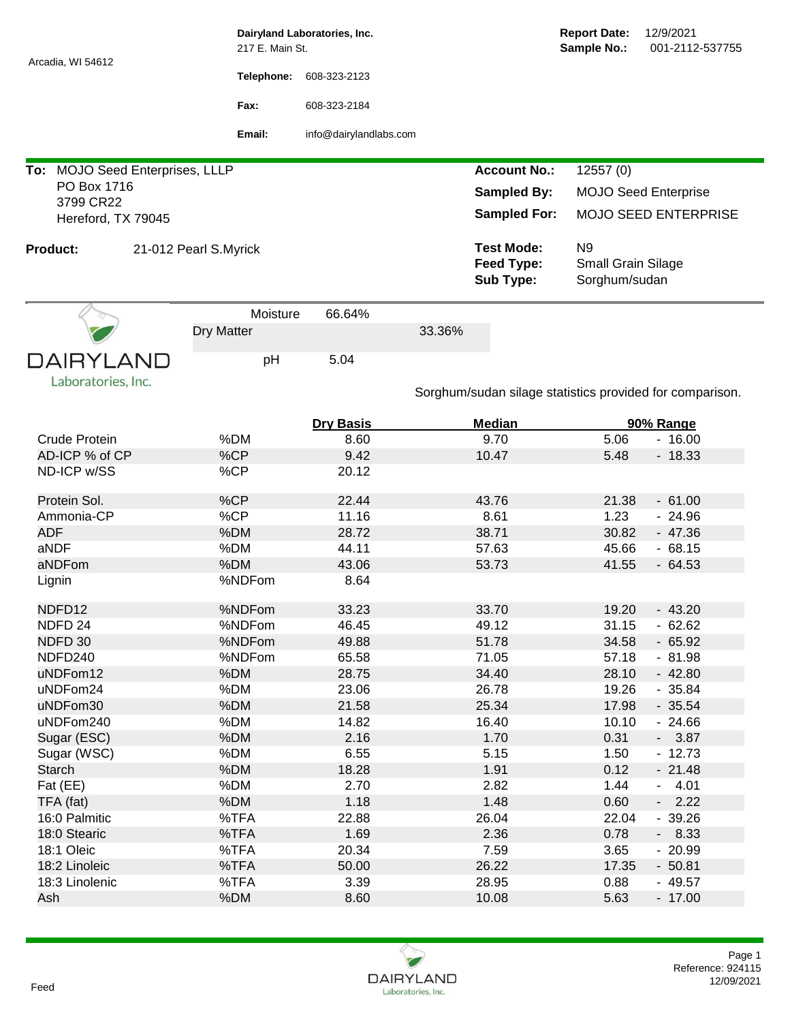|                                        | 217 E. Main St.       | Dairyland Laboratories, Inc. |                                                          | <b>Report Date:</b><br>12/9/2021<br>Sample No.:<br>001-2112-537755 |                       |  |  |
|----------------------------------------|-----------------------|------------------------------|----------------------------------------------------------|--------------------------------------------------------------------|-----------------------|--|--|
| Arcadia, WI 54612                      | Telephone:            | 608-323-2123                 |                                                          |                                                                    |                       |  |  |
|                                        | Fax:                  | 608-323-2184                 |                                                          |                                                                    |                       |  |  |
|                                        | Email:                | info@dairylandlabs.com       |                                                          |                                                                    |                       |  |  |
| To: MOJO Seed Enterprises, LLLP        |                       |                              | <b>Account No.:</b>                                      | 12557(0)                                                           |                       |  |  |
| PO Box 1716                            |                       |                              | <b>Sampled By:</b>                                       | <b>MOJO Seed Enterprise</b>                                        |                       |  |  |
| 3799 CR22<br>Hereford, TX 79045        |                       |                              | <b>Sampled For:</b>                                      | <b>MOJO SEED ENTERPRISE</b>                                        |                       |  |  |
| <b>Product:</b>                        | 21-012 Pearl S.Myrick |                              | <b>Test Mode:</b><br><b>Feed Type:</b><br>Sub Type:      | N <sub>9</sub><br>Small Grain Silage<br>Sorghum/sudan              |                       |  |  |
|                                        | Moisture              | 66.64%                       |                                                          |                                                                    |                       |  |  |
|                                        | Dry Matter            |                              | 33.36%                                                   |                                                                    |                       |  |  |
| <b>DAIRYLAND</b><br>Laboratories, Inc. | pH                    | 5.04                         | Sorghum/sudan silage statistics provided for comparison. |                                                                    |                       |  |  |
|                                        |                       |                              | <b>Median</b>                                            |                                                                    |                       |  |  |
| Crude Protein                          | %DM                   | <b>Dry Basis</b><br>8.60     | 9.70                                                     | 5.06                                                               | 90% Range<br>$-16.00$ |  |  |
| AD-ICP % of CP                         | %CP                   | 9.42                         | 10.47                                                    | 5.48                                                               | $-18.33$              |  |  |
| ND-ICP w/SS                            | %CP                   | 20.12                        |                                                          |                                                                    |                       |  |  |
| Protein Sol.                           | %CP                   | 22.44                        | 43.76                                                    | 21.38                                                              | $-61.00$              |  |  |
| Ammonia-CP                             | %CP                   | 11.16                        | 8.61                                                     | 1.23                                                               | $-24.96$              |  |  |
| <b>ADF</b>                             | %DM                   | 28.72                        | 38.71                                                    | 30.82                                                              | $-47.36$              |  |  |
| aNDF                                   | %DM                   | 44.11                        | 57.63                                                    | 45.66                                                              | $-68.15$              |  |  |
| aNDFom                                 | %DM                   | 43.06                        | 53.73                                                    | 41.55                                                              | $-64.53$              |  |  |
| Lignin                                 | %NDFom                | 8.64                         |                                                          |                                                                    |                       |  |  |
| NDFD12                                 | %NDFom                | 33.23                        | 33.70                                                    | 19.20                                                              | $-43.20$              |  |  |
| NDFD 24                                | %NDFom                | 46.45                        | 49.12                                                    | 31.15                                                              | $-62.62$              |  |  |
| NDFD 30                                | %NDFom                | 49.88                        | 51.78                                                    | 34.58                                                              | $-65.92$              |  |  |
| NDFD240                                | %NDFom                | 65.58                        | 71.05                                                    | 57.18                                                              | $-81.98$              |  |  |
| uNDFom12                               | %DM                   | 28.75                        | 34.40                                                    | 28.10                                                              | $-42.80$              |  |  |
| uNDFom24                               | %DM                   | 23.06                        | 26.78                                                    | 19.26                                                              | $-35.84$              |  |  |
| uNDFom30                               | %DM                   | 21.58                        | 25.34                                                    | 17.98                                                              | $-35.54$              |  |  |
| uNDFom240                              | %DM                   | 14.82                        | 16.40                                                    | 10.10                                                              | $-24.66$              |  |  |
| Sugar (ESC)                            | %DM                   | 2.16                         | 1.70                                                     | 0.31                                                               | $-3.87$               |  |  |
| Sugar (WSC)                            | %DM                   | 6.55                         | 5.15                                                     | 1.50                                                               | $-12.73$              |  |  |
| Starch                                 | %DM                   | 18.28                        | 1.91                                                     | 0.12                                                               | $-21.48$              |  |  |
| Fat (EE)                               | %DM                   | 2.70                         | 2.82                                                     | 1.44                                                               | $-4.01$               |  |  |
| TFA (fat)                              | %DM                   | 1.18                         | 1.48                                                     | 0.60                                                               | $-2.22$               |  |  |
| 16:0 Palmitic                          | %TFA                  | 22.88                        | 26.04                                                    | 22.04                                                              | $-39.26$              |  |  |
| 18:0 Stearic                           | %TFA                  | 1.69                         | 2.36                                                     | 0.78                                                               | $-8.33$               |  |  |
| 18:1 Oleic                             | %TFA                  | 20.34                        | 7.59                                                     | 3.65                                                               | $-20.99$              |  |  |
| 18:2 Linoleic                          | %TFA                  | 50.00                        | 26.22                                                    | 17.35                                                              | $-50.81$              |  |  |
| 18:3 Linolenic                         | %TFA                  | 3.39                         | 28.95                                                    | 0.88                                                               | $-49.57$              |  |  |
| Ash                                    | %DM                   | 8.60                         | 10.08                                                    | 5.63                                                               | $-17.00$              |  |  |
|                                        |                       |                              |                                                          |                                                                    |                       |  |  |

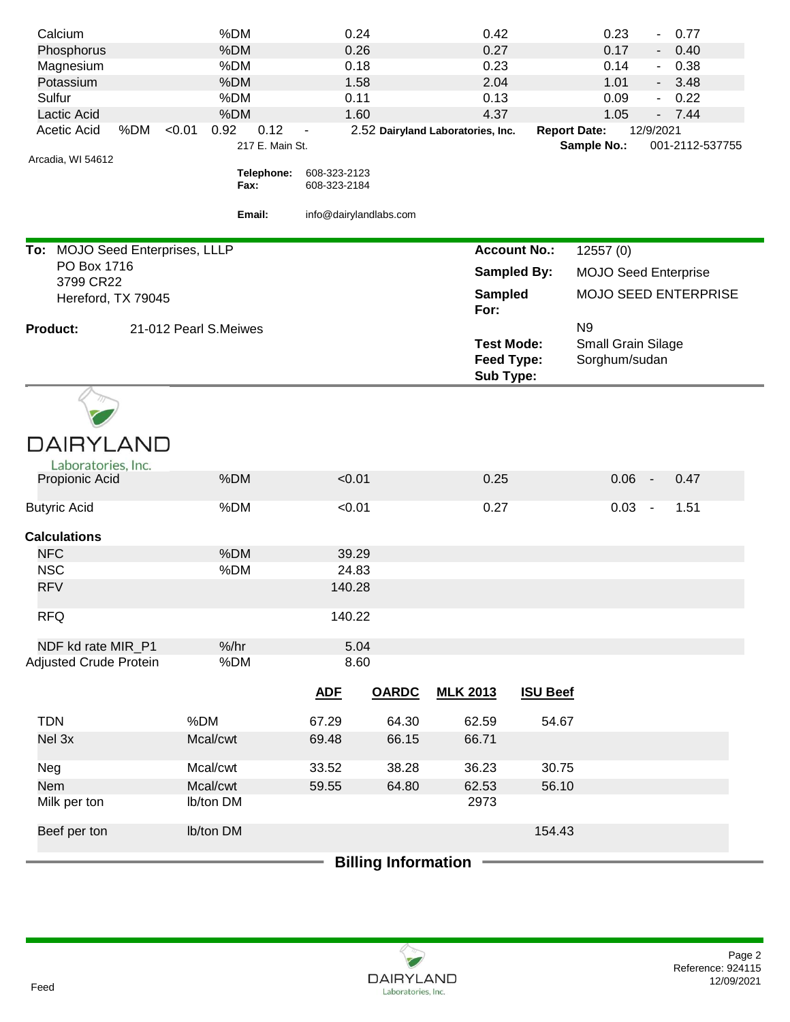| Calcium                              | %DM                                       | 0.24                         |              | 0.42                                                |                     | 0.23                                                  | 0.77<br>$\overline{\phantom{0}}$ |
|--------------------------------------|-------------------------------------------|------------------------------|--------------|-----------------------------------------------------|---------------------|-------------------------------------------------------|----------------------------------|
| Phosphorus                           | %DM                                       | 0.26                         |              | 0.27                                                |                     | 0.17                                                  | 0.40<br>۰,                       |
| Magnesium                            | %DM                                       | 0.18                         |              | 0.23                                                |                     | 0.14                                                  | 0.38<br>$\blacksquare$           |
| Potassium                            | %DM                                       | 1.58                         |              | 2.04                                                |                     | 1.01                                                  | 3.48<br>$\sim$                   |
| Sulfur                               | %DM                                       | 0.11                         |              | 0.13                                                |                     | 0.09                                                  | 0.22<br>÷.                       |
| <b>Lactic Acid</b>                   | %DM                                       | 1.60                         |              | 4.37                                                |                     | 1.05                                                  | $-7.44$                          |
| %DM<br>Acetic Acid                   | 0.92<br>0.12<br>< 0.01<br>217 E. Main St. |                              |              | 2.52 Dairyland Laboratories, Inc.                   | <b>Report Date:</b> |                                                       | 12/9/2021<br>001-2112-537755     |
| Arcadia, WI 54612                    |                                           |                              |              |                                                     |                     | Sample No.:                                           |                                  |
|                                      | Telephone:<br>Fax:                        | 608-323-2123<br>608-323-2184 |              |                                                     |                     |                                                       |                                  |
|                                      | Email:                                    | info@dairylandlabs.com       |              |                                                     |                     |                                                       |                                  |
| To: MOJO Seed Enterprises, LLLP      |                                           |                              |              | <b>Account No.:</b>                                 |                     | 12557 (0)                                             |                                  |
| 3799 CR22                            | PO Box 1716<br><b>Sampled By:</b>         |                              |              | <b>MOJO Seed Enterprise</b>                         |                     |                                                       |                                  |
| Hereford, TX 79045                   |                                           |                              |              | Sampled<br>For:                                     |                     |                                                       | <b>MOJO SEED ENTERPRISE</b>      |
| <b>Product:</b>                      | 21-012 Pearl S.Meiwes                     |                              |              | <b>Test Mode:</b><br><b>Feed Type:</b><br>Sub Type: |                     | N <sub>9</sub><br>Small Grain Silage<br>Sorghum/sudan |                                  |
|                                      |                                           |                              |              |                                                     |                     |                                                       |                                  |
| <b>DAIRYLAND</b>                     |                                           |                              |              |                                                     |                     |                                                       |                                  |
| Laboratories, Inc.<br>Propionic Acid | %DM                                       | < 0.01                       |              | 0.25                                                |                     | 0.06                                                  | 0.47<br>$\sim$                   |
|                                      |                                           |                              |              |                                                     |                     |                                                       |                                  |
| <b>Butyric Acid</b>                  | %DM                                       | < 0.01                       |              | 0.27                                                |                     | 0.03                                                  | 1.51<br>$\blacksquare$           |
| <b>Calculations</b>                  |                                           |                              |              |                                                     |                     |                                                       |                                  |
| <b>NFC</b>                           | %DM                                       | 39.29                        |              |                                                     |                     |                                                       |                                  |
| <b>NSC</b>                           | %DM                                       | 24.83                        |              |                                                     |                     |                                                       |                                  |
| <b>RFV</b>                           |                                           | 140.28                       |              |                                                     |                     |                                                       |                                  |
| <b>RFQ</b>                           |                                           | 140.22                       |              |                                                     |                     |                                                       |                                  |
| NDF kd rate MIR_P1                   | $%$ /hr                                   | 5.04                         |              |                                                     |                     |                                                       |                                  |
| <b>Adjusted Crude Protein</b>        | %DM                                       | 8.60                         |              |                                                     |                     |                                                       |                                  |
|                                      |                                           | <b>ADF</b>                   | <b>OARDC</b> | <b>MLK 2013</b>                                     | <b>ISU Beef</b>     |                                                       |                                  |
| <b>TDN</b>                           | %DM                                       | 67.29                        | 64.30        | 62.59                                               | 54.67               |                                                       |                                  |
| Nel 3x                               | Mcal/cwt                                  | 69.48                        | 66.15        | 66.71                                               |                     |                                                       |                                  |
| Neg                                  | Mcal/cwt                                  | 33.52                        | 38.28        | 36.23                                               | 30.75               |                                                       |                                  |
| Nem                                  | Mcal/cwt                                  | 59.55                        | 64.80        | 62.53                                               | 56.10               |                                                       |                                  |
| Milk per ton                         | Ib/ton DM                                 |                              |              | 2973                                                |                     |                                                       |                                  |
| Beef per ton                         | Ib/ton DM                                 |                              |              |                                                     | 154.43              |                                                       |                                  |
| <b>Billing Information</b>           |                                           |                              |              |                                                     |                     |                                                       |                                  |